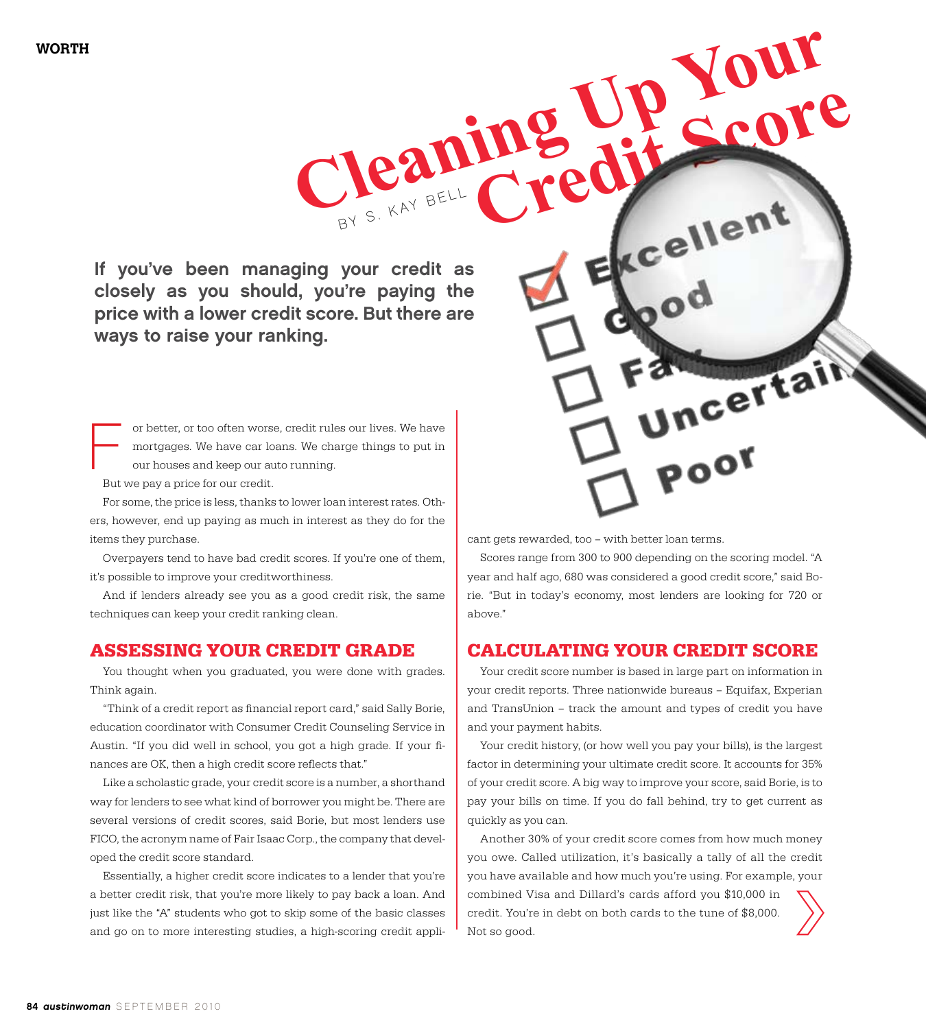If you've been managing your credit as closely as you should, you're paying the price with a lower credit score. But there are ways to raise your ranking.

BY S. KAY BELL

**Caning** 

or better, or too often worse, credit rules our lives. We have mortgages. We have car loans. We charge things to put in our houses and keep our auto running. F

But we pay a price for our credit.

For some, the price is less, thanks to lower loan interest rates. Others, however, end up paying as much in interest as they do for the items they purchase.

Overpayers tend to have bad credit scores. If you're one of them, it's possible to improve your creditworthiness.

And if lenders already see you as a good credit risk, the same techniques can keep your credit ranking clean.

## **Assessing Your Credit Grade**

You thought when you graduated, you were done with grades. Think again.

"Think of a credit report as financial report card," said Sally Borie, education coordinator with Consumer Credit Counseling Service in Austin. "If you did well in school, you got a high grade. If your finances are OK, then a high credit score reflects that."

Like a scholastic grade, your credit score is a number, a shorthand way for lenders to see what kind of borrower you might be. There are several versions of credit scores, said Borie, but most lenders use FICO, the acronym name of Fair Isaac Corp., the company that developed the credit score standard.

Essentially, a higher credit score indicates to a lender that you're a better credit risk, that you're more likely to pay back a loan. And just like the "A" students who got to skip some of the basic classes and go on to more interesting studies, a high-scoring credit applicant gets rewarded, too – with better loan terms.

Scores range from 300 to 900 depending on the scoring model. "A year and half ago, 680 was considered a good credit score," said Borie. "But in today's economy, most lenders are looking for 720 or above."

**P Your** 

Incertain

poo

## **Calculating Your Credit Score**

Your credit score number is based in large part on information in your credit reports. Three nationwide bureaus – Equifax, Experian and TransUnion – track the amount and types of credit you have and your payment habits.

Your credit history, (or how well you pay your bills), is the largest factor in determining your ultimate credit score. It accounts for 35% of your credit score. A big way to improve your score, said Borie, is to pay your bills on time. If you do fall behind, try to get current as quickly as you can.

Another 30% of your credit score comes from how much money you owe. Called utilization, it's basically a tally of all the credit you have available and how much you're using. For example, your combined Visa and Dillard's cards afford you \$10,000 in credit. You're in debt on both cards to the tune of \$8,000. Not so good.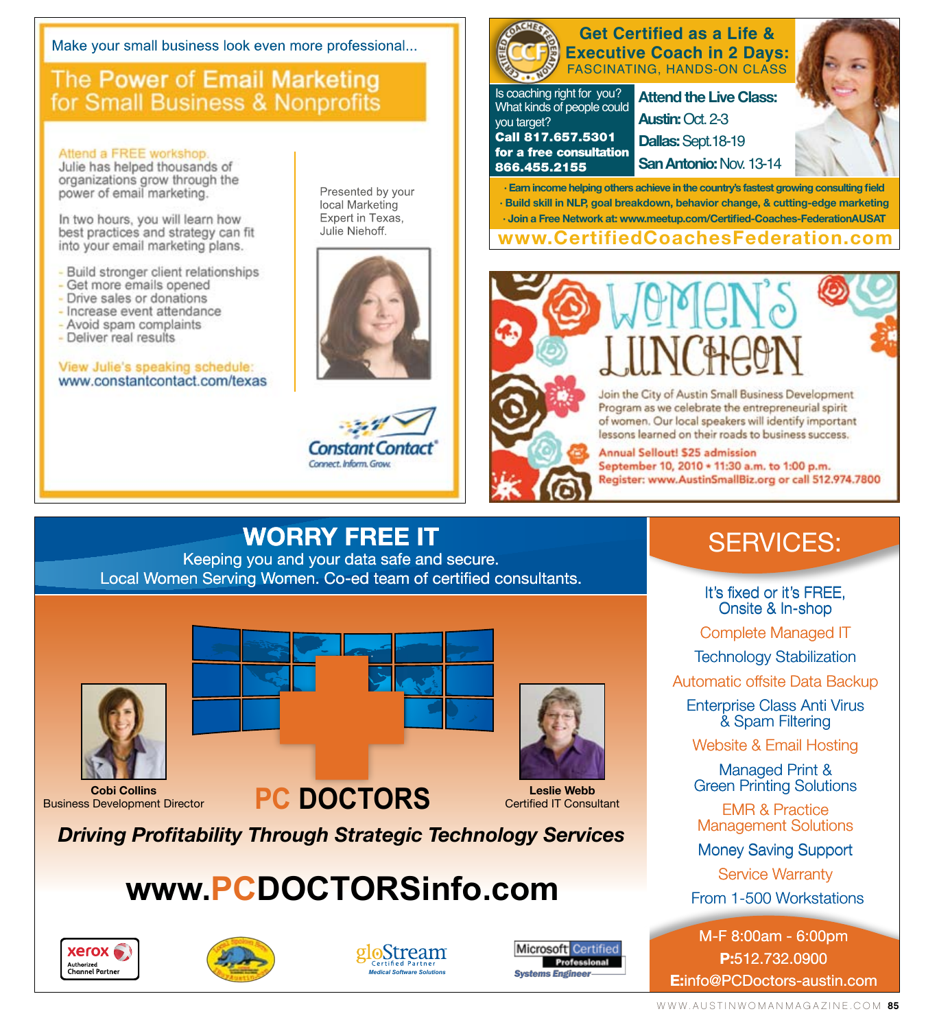Make your small business look even more professional...

## The Power of Email Marketing for Small Business & Nonprofits

## Attend a FREE workshop

Julie has helped thousands of organizations grow through the power of email marketing.

In two hours, you will learn how best practices and strategy can fit into your email marketing plans.

- Build stronger client relationships
- Get more emails opened
- Drive sales or donations
- Increase event attendance
- Avoid spam complaints
- Deliver real results

## View Julie's speaking schedule: www.constantcontact.com/texas

Presented by your local Marketing Expert in Texas, Julie Niehoff.





### **Attend the Live Class: Austin:** Oct. 2-3 **Dallas:** Sept.18-19 **SanAntonio:** Nov. 13-14 Is coaching right for you? What kinds of people could you target? Call 817.657.5301 for a free consultation 866.455.2155 **Get Certified as a Life & Executive Coach in 2 Days:** FASCINATING, HANDS-ON CLASS

**· Earn income helping others achieve in the country's fastest growing consulting field · Build skill in NLP, goal breakdown, behavior change, & cutting-edge marketing · Join a Free Network at: www.meetup.com/Certified-Coaches-FederationAUSAT**

**www.CertifiedCoachesFederation.com**





Join the City of Austin Small Business Development Program as we celebrate the entrepreneurial spirit of women. Our local speakers will identify important lessons learned on their roads to business success.

Annual Sellout! \$25 admission September 10, 2010 \* 11:30 a.m. to 1:00 p.m. Register: www.AustinSmallBiz.org or call 512.974.7800

Keeping you and your data safe and secure. Local Women Serving Women. Co-ed team of certified consultants.



## **Cobi Collins**<br> **PC DOCTORS** Business Development Director





**Leslie Webb** Certified IT Consultant

*Driving Profitability Through Strategic Technology Services*

# **www.PCDOCTORSinfo.com**







Microsoft Certified Professional **Systems Engineer** 

# SERVICES:

It's fixed or it's FREE, Onsite & In-shop Onsite &

Complete Managed IT

Technology Stabilization

Automatic offsite Data Backup

Enterprise Class Anti Virus & Spam Filtering

Website & Email Hosting

Managed Print & Green Printing Solutions

EMR & Practice Management Solutions

Money Saving Support

Service Warranty

From 1-500 Workstations

M-F 8:00am - 6:00pm **P:**512.732.0900 **E:**info@PCDoctors-austin.com